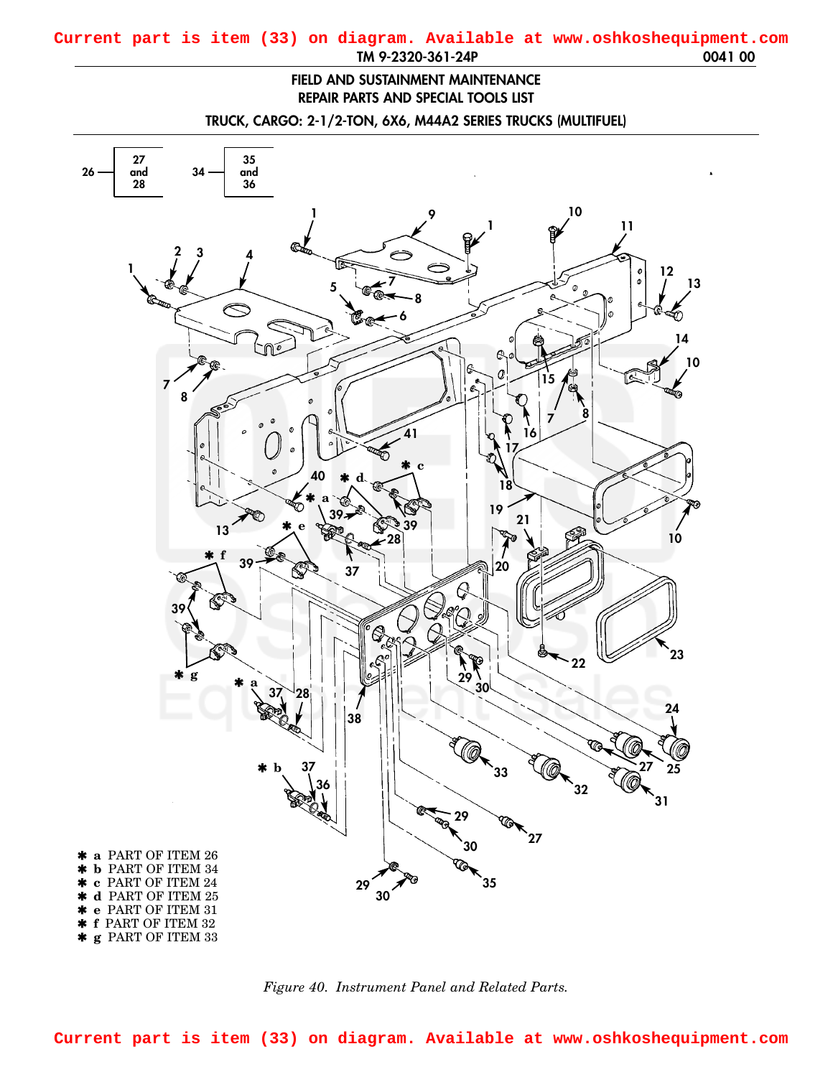## **FIELD AND SUSTAINMENT MAINTENANCE REPAIR PARTS AND SPECIAL TOOLS LIST**

**TRUCK, CARGO: 2-1/2-TON, 6X6, M44A2 SERIES TRUCKS (MULTIFUEL)**

<span id="page-0-0"></span>